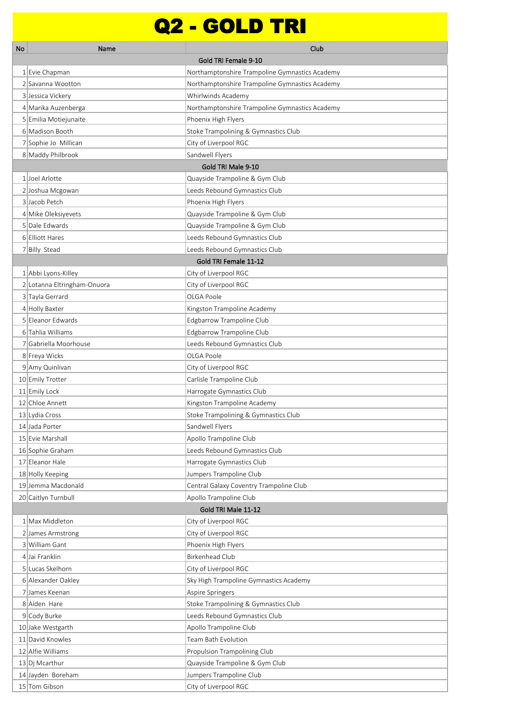## Q2 - GOLD TRI

| No | Name                           | Club                                                     |
|----|--------------------------------|----------------------------------------------------------|
|    |                                | Gold TRI Female 9-10                                     |
|    | 1 Evie Chapman                 | Northamptonshire Trampoline Gymnastics Academy           |
|    | 2 Savanna Wootton              | Northamptonshire Trampoline Gymnastics Academy           |
|    | 3 Jessica Vickery              | Whirlwinds Academy                                       |
|    | 4 Marika Auzenberga            | Northamptonshire Trampoline Gymnastics Academy           |
|    | 5 Emilia Motiejunaite          | Phoenix High Flyers                                      |
|    | 6 Madison Booth                | Stoke Trampolining & Gymnastics Club                     |
|    | 7 Sophie Jo Millican           | City of Liverpool RGC                                    |
|    | 8 Maddy Philbrook              | Sandwell Flyers                                          |
|    |                                | Gold TRI Male 9-10                                       |
|    | 1 Joel Arlotte                 | Quayside Trampoline & Gym Club                           |
|    | 2 Joshua Mcgowan               | Leeds Rebound Gymnastics Club                            |
|    | 3 Jacob Petch                  | Phoenix High Flyers                                      |
|    | 4 Mike Oleksiyevets            | Quayside Trampoline & Gym Club                           |
|    | 5 Dale Edwards                 | Quayside Trampoline & Gym Club                           |
|    | 6 Elliott Hares                | Leeds Rebound Gymnastics Club                            |
|    | 7 Billy Stead                  | Leeds Rebound Gymnastics Club                            |
|    |                                | Gold TRI Female 11-12                                    |
|    | 1 Abbi Lyons-Killey            | City of Liverpool RGC                                    |
|    | 2 Lotanna Eltringham-Onuora    | City of Liverpool RGC                                    |
|    | 3 Tayla Gerrard                | OLGA Poole                                               |
|    | 4 Holly Baxter                 | Kingston Trampoline Academy                              |
|    | 5 Eleanor Edwards              | Edgbarrow Trampoline Club                                |
|    | 6 Tahlia Williams              | Edgbarrow Trampoline Club                                |
|    | 7 Gabriella Moorhouse          | Leeds Rebound Gymnastics Club                            |
|    | 8 Freya Wicks                  | OLGA Poole                                               |
|    | 9 Amy Quinlivan                | City of Liverpool RGC                                    |
|    | 10 Emily Trotter               | Carlisle Trampoline Club                                 |
|    | 11 Emily Lock                  | Harrogate Gymnastics Club                                |
|    | 12 Chloe Annett                | Kingston Trampoline Academy                              |
|    | 13 Lydia Cross                 | Stoke Trampolining & Gymnastics Club                     |
|    | 14 Jada Porter                 | Sandwell Flyers                                          |
|    | 15 Evie Marshall               | Apollo Trampoline Club                                   |
|    | 16 Sophie Graham               | Leeds Rebound Gymnastics Club                            |
|    | 17 Eleanor Hale                | Harrogate Gymnastics Club                                |
|    | 18 Holly Keeping               | Jumpers Trampoline Club                                  |
|    | 19 Jemma Macdonald             | Central Galaxy Coventry Trampoline Club                  |
|    | 20 Caitlyn Turnbull            | Apollo Trampoline Club                                   |
|    | 1 Max Middleton                | Gold TRI Male 11-12                                      |
|    | 2 James Armstrong              | City of Liverpool RGC<br>City of Liverpool RGC           |
|    | 3 William Gant                 | Phoenix High Flyers                                      |
|    | 4 Jai Franklin                 | <b>Birkenhead Club</b>                                   |
|    | 5 Lucas Skelhorn               |                                                          |
|    | 6 Alexander Oakley             | City of Liverpool RGC                                    |
|    |                                | Sky High Trampoline Gymnastics Academy                   |
|    | 7 James Keenan<br>8 Aiden Hare | Aspire Springers<br>Stoke Trampolining & Gymnastics Club |
|    | 9 Cody Burke                   | Leeds Rebound Gymnastics Club                            |
|    | 10 Jake Westgarth              | Apollo Trampoline Club                                   |
|    | 11 David Knowles               | Team Bath Evolution                                      |
|    | 12 Alfie Williams              | Propulsion Trampolining Club                             |
|    | 13 Dj Mcarthur                 | Quayside Trampoline & Gym Club                           |
|    | 14 Jayden Boreham              | Jumpers Trampoline Club                                  |
|    | 15 Tom Gibson                  | City of Liverpool RGC                                    |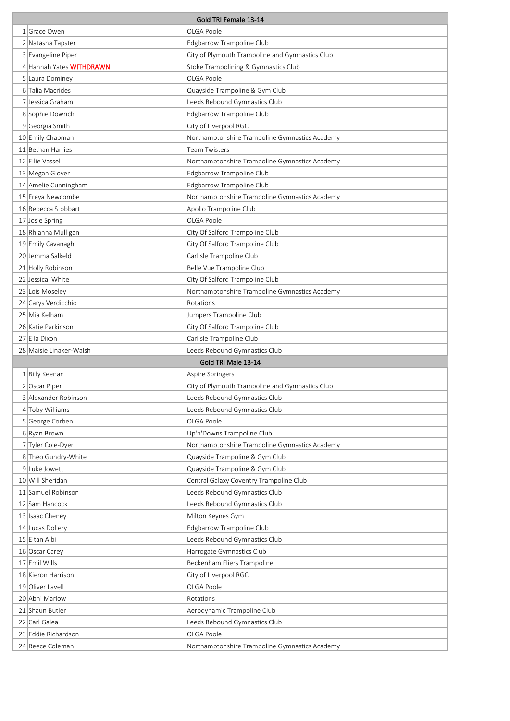| Gold TRI Female 13-14 |                          |                                                 |
|-----------------------|--------------------------|-------------------------------------------------|
|                       | 1 Grace Owen             | OLGA Poole                                      |
|                       | 2 Natasha Tapster        | Edgbarrow Trampoline Club                       |
|                       | 3 Evangeline Piper       | City of Plymouth Trampoline and Gymnastics Club |
|                       | 4 Hannah Yates WITHDRAWN | Stoke Trampolining & Gymnastics Club            |
|                       | 5 Laura Dominey          | OLGA Poole                                      |
|                       | 6 Talia Macrides         | Quayside Trampoline & Gym Club                  |
|                       | 7 Jessica Graham         | Leeds Rebound Gymnastics Club                   |
|                       | 8 Sophie Dowrich         | Edgbarrow Trampoline Club                       |
|                       | 9 Georgia Smith          | City of Liverpool RGC                           |
|                       | 10 Emily Chapman         | Northamptonshire Trampoline Gymnastics Academy  |
|                       | 11 Bethan Harries        | <b>Team Twisters</b>                            |
|                       | 12 Ellie Vassel          | Northamptonshire Trampoline Gymnastics Academy  |
|                       | 13 Megan Glover          | Edgbarrow Trampoline Club                       |
|                       | 14 Amelie Cunningham     | Edgbarrow Trampoline Club                       |
|                       | 15 Freya Newcombe        | Northamptonshire Trampoline Gymnastics Academy  |
|                       | 16 Rebecca Stobbart      | Apollo Trampoline Club                          |
|                       | 17 Josie Spring          | OLGA Poole                                      |
|                       | 18 Rhianna Mulligan      | City Of Salford Trampoline Club                 |
|                       | 19 Emily Cavanagh        | City Of Salford Trampoline Club                 |
|                       | 20 Jemma Salkeld         | Carlisle Trampoline Club                        |
|                       | 21 Holly Robinson        | Belle Vue Trampoline Club                       |
|                       | 22 Jessica White         | City Of Salford Trampoline Club                 |
|                       | 23 Lois Moseley          | Northamptonshire Trampoline Gymnastics Academy  |
|                       | 24 Carys Verdicchio      | Rotations                                       |
|                       | 25 Mia Kelham            | Jumpers Trampoline Club                         |
|                       | 26 Katie Parkinson       | City Of Salford Trampoline Club                 |
|                       |                          |                                                 |
|                       | 27 Ella Dixon            | Carlisle Trampoline Club                        |
|                       | 28 Maisie Linaker-Walsh  | Leeds Rebound Gymnastics Club                   |
|                       |                          | Gold TRI Male 13-14                             |
|                       | 1 Billy Keenan           | Aspire Springers                                |
|                       | 2 Oscar Piper            | City of Plymouth Trampoline and Gymnastics Club |
|                       | 3 Alexander Robinson     | Leeds Rebound Gymnastics Club                   |
|                       | 4 Toby Williams          | Leeds Rebound Gymnastics Club                   |
|                       | 5 George Corben          | OLGA Poole                                      |
|                       | 6 Ryan Brown             | Up'n'Downs Trampoline Club                      |
|                       | 7 Tyler Cole-Dyer        | Northamptonshire Trampoline Gymnastics Academy  |
|                       | 8 Theo Gundry-White      | Quayside Trampoline & Gym Club                  |
|                       | 9 Luke Jowett            | Quayside Trampoline & Gym Club                  |
|                       | 10 Will Sheridan         | Central Galaxy Coventry Trampoline Club         |
|                       | 11 Samuel Robinson       | Leeds Rebound Gymnastics Club                   |
|                       | 12 Sam Hancock           | Leeds Rebound Gymnastics Club                   |
|                       | 13 Isaac Cheney          | Milton Keynes Gym                               |
|                       | 14 Lucas Dollery         | Edgbarrow Trampoline Club                       |
|                       | 15 Eitan Aibi            | Leeds Rebound Gymnastics Club                   |
|                       | 16 Oscar Carey           | Harrogate Gymnastics Club                       |
|                       | 17 Emil Wills            | Beckenham Fliers Trampoline                     |
|                       | 18 Kieron Harrison       | City of Liverpool RGC                           |
|                       | 19 Oliver Lavell         | OLGA Poole                                      |
|                       | 20 Abhi Marlow           | Rotations                                       |
|                       | 21 Shaun Butler          | Aerodynamic Trampoline Club                     |
|                       | 22 Carl Galea            | Leeds Rebound Gymnastics Club                   |
|                       | 23 Eddie Richardson      | OLGA Poole                                      |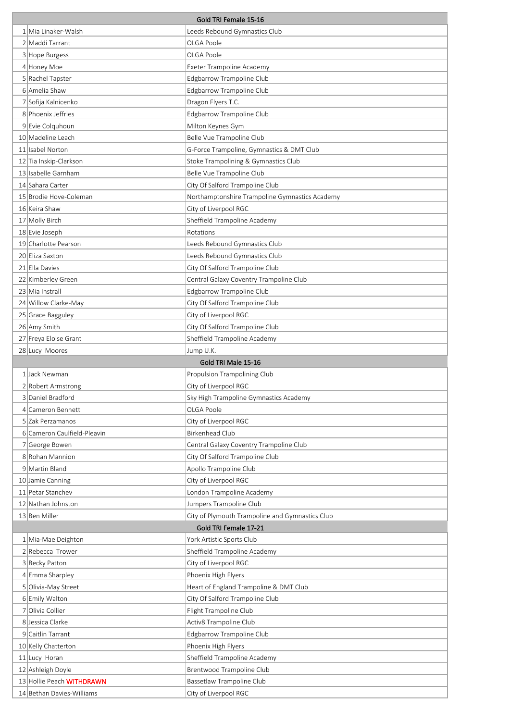| Gold TRI Female 15-16                                  |                                                        |  |
|--------------------------------------------------------|--------------------------------------------------------|--|
| 1 Mia Linaker-Walsh                                    | Leeds Rebound Gymnastics Club                          |  |
| 2 Maddi Tarrant                                        | OLGA Poole                                             |  |
| 3 Hope Burgess                                         | OLGA Poole                                             |  |
| 4 Honey Moe                                            | Exeter Trampoline Academy                              |  |
| 5 Rachel Tapster                                       | Edgbarrow Trampoline Club                              |  |
| 6 Amelia Shaw                                          | Edgbarrow Trampoline Club                              |  |
| 7 Sofija Kalnicenko                                    | Dragon Flyers T.C.                                     |  |
| 8 Phoenix Jeffries                                     | Edgbarrow Trampoline Club                              |  |
| 9 Evie Colquhoun                                       | Milton Keynes Gym                                      |  |
| 10 Madeline Leach                                      | Belle Vue Trampoline Club                              |  |
| 11 Isabel Norton                                       | G-Force Trampoline, Gymnastics & DMT Club              |  |
| 12 Tia Inskip-Clarkson                                 | Stoke Trampolining & Gymnastics Club                   |  |
| 13 Isabelle Garnham                                    | Belle Vue Trampoline Club                              |  |
| 14 Sahara Carter                                       | City Of Salford Trampoline Club                        |  |
| 15 Brodie Hove-Coleman                                 | Northamptonshire Trampoline Gymnastics Academy         |  |
| 16 Keira Shaw                                          | City of Liverpool RGC                                  |  |
| 17 Molly Birch                                         | Sheffield Trampoline Academy                           |  |
| 18 Evie Joseph                                         | Rotations                                              |  |
| 19 Charlotte Pearson                                   | Leeds Rebound Gymnastics Club                          |  |
| 20 Eliza Saxton                                        | Leeds Rebound Gymnastics Club                          |  |
| 21 Ella Davies                                         | City Of Salford Trampoline Club                        |  |
| 22 Kimberley Green                                     | Central Galaxy Coventry Trampoline Club                |  |
| 23 Mia Instrall                                        | Edgbarrow Trampoline Club                              |  |
| 24 Willow Clarke-May                                   | City Of Salford Trampoline Club                        |  |
| 25 Grace Bagguley                                      | City of Liverpool RGC                                  |  |
| 26 Amy Smith                                           | City Of Salford Trampoline Club                        |  |
| 27 Freya Eloise Grant                                  | Sheffield Trampoline Academy                           |  |
| 28 Lucy Moores                                         | Jump U.K.                                              |  |
|                                                        | Gold TRI Male 15-16                                    |  |
| 1 Jack Newman                                          | Propulsion Trampolining Club                           |  |
| 2 Robert Armstrong                                     | City of Liverpool RGC                                  |  |
| 3 Daniel Bradford                                      | Sky High Trampoline Gymnastics Academy                 |  |
| 4 Cameron Bennett                                      | OLGA Poole                                             |  |
| 5 Zak Perzamanos                                       | City of Liverpool RGC                                  |  |
| 6 Cameron Caulfield-Pleavin                            | <b>Birkenhead Club</b>                                 |  |
| 7 George Bowen                                         |                                                        |  |
|                                                        | Central Galaxy Coventry Trampoline Club                |  |
| 8 Rohan Mannion                                        | City Of Salford Trampoline Club                        |  |
| 9 Martin Bland                                         | Apollo Trampoline Club                                 |  |
| 10 Jamie Canning                                       | City of Liverpool RGC                                  |  |
| 11 Petar Stanchev                                      | London Trampoline Academy                              |  |
| 12 Nathan Johnston                                     | Jumpers Trampoline Club                                |  |
| 13 Ben Miller                                          | City of Plymouth Trampoline and Gymnastics Club        |  |
|                                                        | Gold TRI Female 17-21                                  |  |
| 1 Mia-Mae Deighton                                     | York Artistic Sports Club                              |  |
| 2 Rebecca Trower                                       | Sheffield Trampoline Academy                           |  |
| 3 Becky Patton                                         | City of Liverpool RGC                                  |  |
| 4 Emma Sharpley                                        | Phoenix High Flyers                                    |  |
| 5 Olivia-May Street                                    | Heart of England Trampoline & DMT Club                 |  |
| 6 Emily Walton                                         | City Of Salford Trampoline Club                        |  |
| 7 Olivia Collier                                       | Flight Trampoline Club                                 |  |
| 8 Jessica Clarke                                       | Activ8 Trampoline Club                                 |  |
| 9 Caitlin Tarrant                                      | Edgbarrow Trampoline Club                              |  |
| 10 Kelly Chatterton                                    | Phoenix High Flyers                                    |  |
| 11 Lucy Horan                                          | Sheffield Trampoline Academy                           |  |
| 12 Ashleigh Doyle                                      | Brentwood Trampoline Club<br>Bassetlaw Trampoline Club |  |
| 13 Hollie Peach WITHDRAWN<br>14 Bethan Davies-Williams | City of Liverpool RGC                                  |  |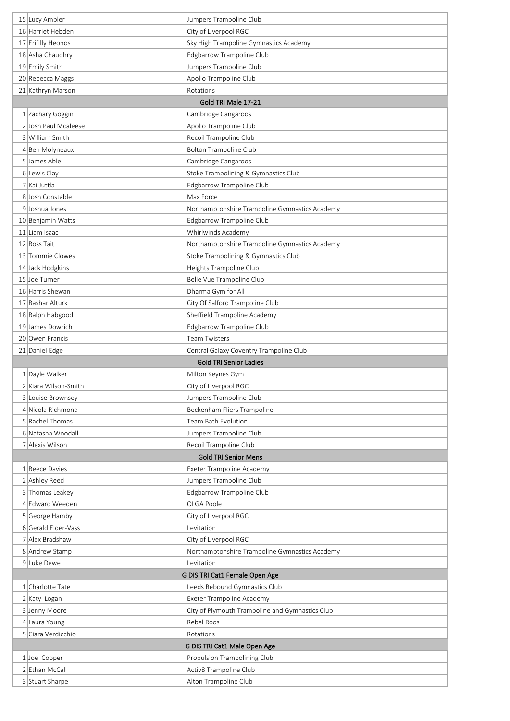| 15 Lucy Ambler                        | Jumpers Trampoline Club                                      |
|---------------------------------------|--------------------------------------------------------------|
| 16 Harriet Hebden                     | City of Liverpool RGC                                        |
| 17 Erifilly Heonos                    | Sky High Trampoline Gymnastics Academy                       |
| 18 Asha Chaudhry                      | Edgbarrow Trampoline Club                                    |
| 19 Emily Smith                        | Jumpers Trampoline Club                                      |
| 20 Rebecca Maggs                      | Apollo Trampoline Club                                       |
| 21 Kathryn Marson                     | Rotations                                                    |
|                                       | Gold TRI Male 17-21                                          |
| 1 Zachary Goggin                      | Cambridge Cangaroos                                          |
| 2 Josh Paul Mcaleese                  | Apollo Trampoline Club                                       |
| 3 William Smith                       | Recoil Trampoline Club                                       |
| 4 Ben Molyneaux                       | <b>Bolton Trampoline Club</b>                                |
| 5 James Able                          | Cambridge Cangaroos                                          |
| 6 Lewis Clay                          | Stoke Trampolining & Gymnastics Club                         |
| 7 Kai Juttla                          | Edgbarrow Trampoline Club                                    |
| 8 Josh Constable                      | Max Force                                                    |
| 9 Joshua Jones                        | Northamptonshire Trampoline Gymnastics Academy               |
| 10 Benjamin Watts                     | Edgbarrow Trampoline Club                                    |
| 11 Liam Isaac                         | Whirlwinds Academy                                           |
| 12 Ross Tait                          | Northamptonshire Trampoline Gymnastics Academy               |
| 13 Tommie Clowes                      | Stoke Trampolining & Gymnastics Club                         |
| 14 Jack Hodgkins                      | Heights Trampoline Club                                      |
| 15 Joe Turner                         | Belle Vue Trampoline Club                                    |
| 16 Harris Shewan                      | Dharma Gym for All                                           |
| 17 Bashar Alturk                      | City Of Salford Trampoline Club                              |
| 18 Ralph Habgood                      | Sheffield Trampoline Academy                                 |
| 19 James Dowrich                      | Edgbarrow Trampoline Club                                    |
| 20 Owen Francis                       | <b>Team Twisters</b>                                         |
| 21 Daniel Edge                        | Central Galaxy Coventry Trampoline Club                      |
|                                       | <b>Gold TRI Senior Ladies</b>                                |
| 1 Dayle Walker                        | Milton Keynes Gym                                            |
| 2 Kiara Wilson-Smith                  | City of Liverpool RGC                                        |
|                                       |                                                              |
| 3 Louise Brownsey                     | Jumpers Trampoline Club                                      |
| 4 Nicola Richmond                     | Beckenham Fliers Trampoline                                  |
| 5 Rachel Thomas                       | Team Bath Evolution                                          |
| 6 Natasha Woodall                     | Jumpers Trampoline Club                                      |
| 7 Alexis Wilson                       | Recoil Trampoline Club                                       |
|                                       | <b>Gold TRI Senior Mens</b>                                  |
| 1 Reece Davies                        | Exeter Trampoline Academy                                    |
| 2 Ashley Reed                         | Jumpers Trampoline Club                                      |
| 3 Thomas Leakey                       | Edgbarrow Trampoline Club                                    |
| 4 Edward Weeden                       | OLGA Poole                                                   |
| 5 George Hamby<br>6 Gerald Elder-Vass | City of Liverpool RGC<br>Levitation                          |
| 7 Alex Bradshaw                       |                                                              |
| 8 Andrew Stamp                        | City of Liverpool RGC                                        |
| 9 Luke Dewe                           | Northamptonshire Trampoline Gymnastics Academy<br>Levitation |
|                                       | G DIS TRI Cat1 Female Open Age                               |
| 1 Charlotte Tate                      | Leeds Rebound Gymnastics Club                                |
| 2 Katy Logan                          | Exeter Trampoline Academy                                    |
| 3 Jenny Moore                         | City of Plymouth Trampoline and Gymnastics Club              |
| 4 Laura Young                         | Rebel Roos                                                   |
| 5 Ciara Verdicchio                    | Rotations                                                    |
|                                       | G DIS TRI Cat1 Male Open Age                                 |
| $1$ Joe Cooper                        | Propulsion Trampolining Club                                 |
| 2 Ethan McCall<br>3 Stuart Sharpe     | Activ8 Trampoline Club<br>Alton Trampoline Club              |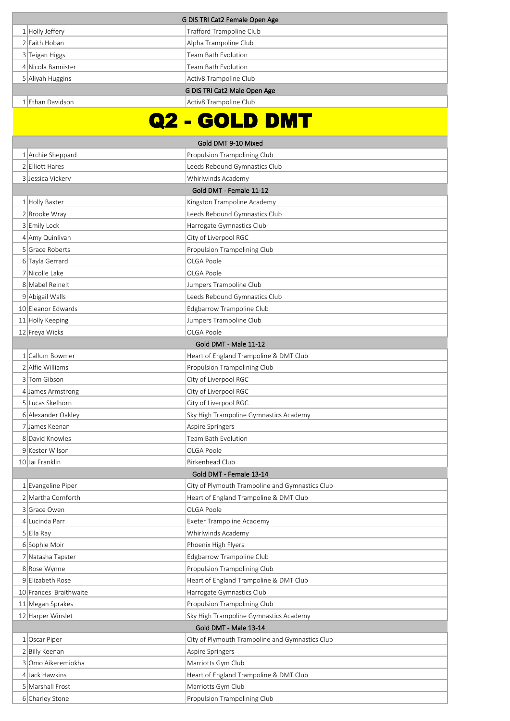| G DIS TRI Cat2 Female Open Age |                                                 |  |
|--------------------------------|-------------------------------------------------|--|
| $1$ Holly Jeffery              | Trafford Trampoline Club                        |  |
| 2 Faith Hoban                  | Alpha Trampoline Club                           |  |
| 3 Teigan Higgs                 | Team Bath Evolution                             |  |
| 4 Nicola Bannister             | Team Bath Evolution                             |  |
| 5 Aliyah Huggins               | Activ8 Trampoline Club                          |  |
|                                | G DIS TRI Cat2 Male Open Age                    |  |
| 1 Ethan Davidson               | Activ8 Trampoline Club                          |  |
|                                |                                                 |  |
|                                | <u> 2 - GOLD DMT</u>                            |  |
|                                | Gold DMT 9-10 Mixed                             |  |
| 1 Archie Sheppard              | Propulsion Trampolining Club                    |  |
| 2 Elliott Hares                | Leeds Rebound Gymnastics Club                   |  |
| 3 Jessica Vickery              | Whirlwinds Academy                              |  |
|                                | Gold DMT - Female 11-12                         |  |
| 1 Holly Baxter                 | Kingston Trampoline Academy                     |  |
| 2 Brooke Wray                  | Leeds Rebound Gymnastics Club                   |  |
| 3 Emily Lock                   | Harrogate Gymnastics Club                       |  |
| 4 Amy Quinlivan                | City of Liverpool RGC                           |  |
| 5 Grace Roberts                | Propulsion Trampolining Club                    |  |
| 6 Tayla Gerrard                | OLGA Poole                                      |  |
| 7 Nicolle Lake                 | OLGA Poole                                      |  |
| 8 Mabel Reinelt                | Jumpers Trampoline Club                         |  |
| 9 Abigail Walls                | Leeds Rebound Gymnastics Club                   |  |
| 10 Eleanor Edwards             | Edgbarrow Trampoline Club                       |  |
| 11 Holly Keeping               | Jumpers Trampoline Club                         |  |
| 12 Freya Wicks                 | OLGA Poole                                      |  |
|                                | Gold DMT - Male 11-12                           |  |
| 1 Callum Bowmer                | Heart of England Trampoline & DMT Club          |  |
| 2 Alfie Williams               | Propulsion Trampolining Club                    |  |
| 3 Tom Gibson                   | City of Liverpool RGC                           |  |
| 4 James Armstrong              | City of Liverpool RGC                           |  |
| 5 Lucas Skelhorn               | City of Liverpool RGC                           |  |
| 6 Alexander Oakley             | Sky High Trampoline Gymnastics Academy          |  |
| 7 James Keenan                 | Aspire Springers                                |  |
| 8 David Knowles                | Team Bath Evolution                             |  |
| 9 Kester Wilson                | OLGA Poole                                      |  |
| 10 Jai Franklin                | Birkenhead Club                                 |  |
|                                | Gold DMT - Female 13-14                         |  |
| $1$ Evangeline Piper           | City of Plymouth Trampoline and Gymnastics Club |  |
| 2 Martha Cornforth             | Heart of England Trampoline & DMT Club          |  |
| 3 Grace Owen                   | OLGA Poole                                      |  |
| 4 Lucinda Parr                 | Exeter Trampoline Academy                       |  |
| 5 Ella Ray                     | Whirlwinds Academy                              |  |
| 6 Sophie Moir                  | Phoenix High Flyers                             |  |
| 7 Natasha Tapster              | Edgbarrow Trampoline Club                       |  |
| 8 Rose Wynne                   | Propulsion Trampolining Club                    |  |
| 9 Elizabeth Rose               | Heart of England Trampoline & DMT Club          |  |
| 10 Frances Braithwaite         | Harrogate Gymnastics Club                       |  |
| 11 Megan Sprakes               | Propulsion Trampolining Club                    |  |
| 12 Harper Winslet              | Sky High Trampoline Gymnastics Academy          |  |
|                                | Gold DMT - Male 13-14                           |  |
| 1 Oscar Piper                  | City of Plymouth Trampoline and Gymnastics Club |  |
| 2 Billy Keenan                 | Aspire Springers                                |  |
| 3 Omo Aikeremiokha             | Marriotts Gym Club                              |  |
| 4 Jack Hawkins                 | Heart of England Trampoline & DMT Club          |  |
| 5 Marshall Frost               | Marriotts Gym Club                              |  |
| 6 Charley Stone                | Propulsion Trampolining Club                    |  |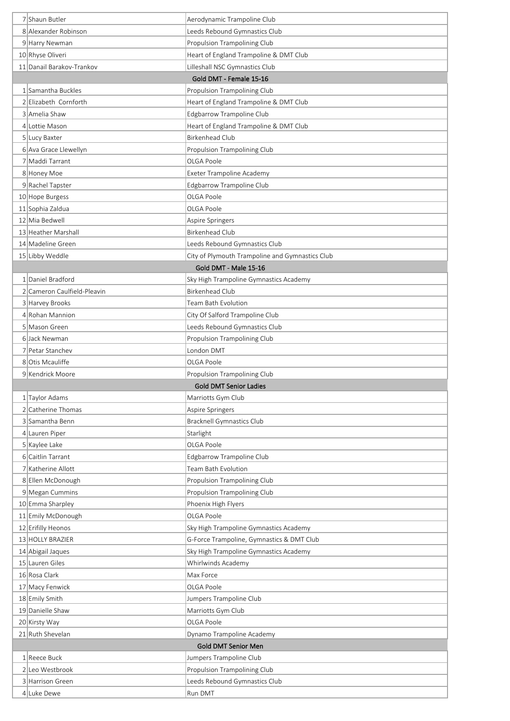|                                     | Aerodynamic Trampoline Club                                   |  |
|-------------------------------------|---------------------------------------------------------------|--|
| 8 Alexander Robinson                | Leeds Rebound Gymnastics Club                                 |  |
| 9 Harry Newman                      | Propulsion Trampolining Club                                  |  |
| 10 Rhyse Oliveri                    | Heart of England Trampoline & DMT Club                        |  |
| 11 Danail Barakov-Trankov           | Lilleshall NSC Gymnastics Club                                |  |
| Gold DMT - Female 15-16             |                                                               |  |
| 1 Samantha Buckles                  | Propulsion Trampolining Club                                  |  |
| 2 Elizabeth Cornforth               | Heart of England Trampoline & DMT Club                        |  |
| 3 Amelia Shaw                       | Edgbarrow Trampoline Club                                     |  |
| 4 Lottie Mason                      | Heart of England Trampoline & DMT Club                        |  |
| 5 Lucy Baxter                       | <b>Birkenhead Club</b>                                        |  |
| 6 Ava Grace Llewellyn               | Propulsion Trampolining Club                                  |  |
| 7 Maddi Tarrant                     | OLGA Poole                                                    |  |
| 8 Honey Moe                         | Exeter Trampoline Academy                                     |  |
| 9 Rachel Tapster                    | Edgbarrow Trampoline Club                                     |  |
| 10 Hope Burgess                     | OLGA Poole                                                    |  |
| 11 Sophia Zaldua                    | OLGA Poole                                                    |  |
| 12 Mia Bedwell                      | Aspire Springers                                              |  |
| 13 Heather Marshall                 | <b>Birkenhead Club</b>                                        |  |
| 14 Madeline Green                   | Leeds Rebound Gymnastics Club                                 |  |
| 15 Libby Weddle                     | City of Plymouth Trampoline and Gymnastics Club               |  |
|                                     | Gold DMT - Male 15-16                                         |  |
| 1 Daniel Bradford                   | Sky High Trampoline Gymnastics Academy                        |  |
| 2 Cameron Caulfield-Pleavin         | <b>Birkenhead Club</b>                                        |  |
| 3 Harvey Brooks                     | Team Bath Evolution                                           |  |
| 4 Rohan Mannion                     | City Of Salford Trampoline Club                               |  |
| 5 Mason Green                       | Leeds Rebound Gymnastics Club                                 |  |
| 6 Jack Newman                       | Propulsion Trampolining Club                                  |  |
| 7 Petar Stanchev                    | London DMT                                                    |  |
| 8 Otis Mcauliffe                    | OLGA Poole                                                    |  |
| 9 Kendrick Moore                    | Propulsion Trampolining Club<br><b>Gold DMT Senior Ladies</b> |  |
|                                     |                                                               |  |
|                                     |                                                               |  |
| 1 Taylor Adams                      | Marriotts Gym Club                                            |  |
| 2 Catherine Thomas                  | Aspire Springers                                              |  |
| 3 Samantha Benn                     | <b>Bracknell Gymnastics Club</b>                              |  |
| 4 Lauren Piper                      | Starlight<br>OLGA Poole                                       |  |
| 5 Kaylee Lake<br>6 Caitlin Tarrant  |                                                               |  |
| 7 Katherine Allott                  | Edgbarrow Trampoline Club<br>Team Bath Evolution              |  |
| 8 Ellen McDonough                   | Propulsion Trampolining Club                                  |  |
| 9 Megan Cummins                     | Propulsion Trampolining Club                                  |  |
| 10 Emma Sharpley                    | Phoenix High Flyers                                           |  |
| 11 Emily McDonough                  | OLGA Poole                                                    |  |
| 12 Erifilly Heonos                  | Sky High Trampoline Gymnastics Academy                        |  |
| 13 HOLLY BRAZIER                    | G-Force Trampoline, Gymnastics & DMT Club                     |  |
| 14 Abigail Jaques                   | Sky High Trampoline Gymnastics Academy                        |  |
| 15 Lauren Giles                     | Whirlwinds Academy                                            |  |
| 16 Rosa Clark                       | Max Force                                                     |  |
| 17 Macy Fenwick                     | OLGA Poole                                                    |  |
| 18 Emily Smith                      | Jumpers Trampoline Club                                       |  |
| 19 Danielle Shaw                    | Marriotts Gym Club                                            |  |
| 20 Kirsty Way                       | OLGA Poole                                                    |  |
| 21 Ruth Shevelan                    | Dynamo Trampoline Academy                                     |  |
|                                     | Gold DMT Senior Men                                           |  |
| 1 Reece Buck                        | Jumpers Trampoline Club                                       |  |
| 2 Leo Westbrook<br>3 Harrison Green | Propulsion Trampolining Club<br>Leeds Rebound Gymnastics Club |  |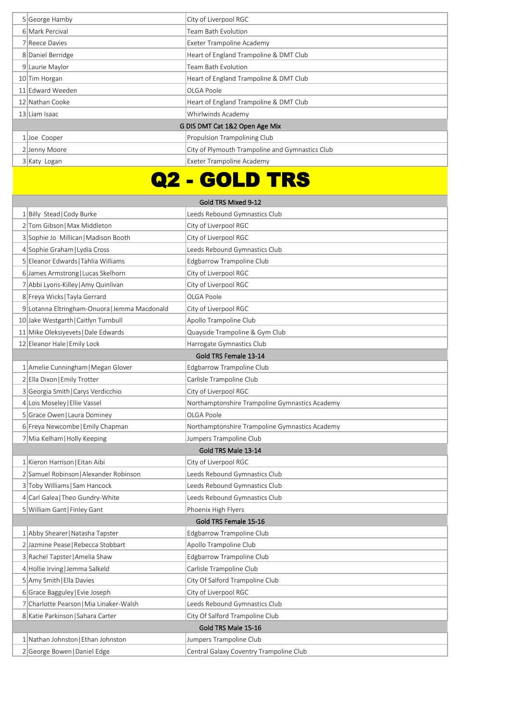|                                | 5 George Hamby    | City of Liverpool RGC                           |
|--------------------------------|-------------------|-------------------------------------------------|
|                                | 6 Mark Percival   | Team Bath Evolution                             |
|                                | 7 Reece Davies    | Exeter Trampoline Academy                       |
|                                | 8 Daniel Berridge | Heart of England Trampoline & DMT Club          |
|                                | 9 Laurie Maylor   | Team Bath Evolution                             |
|                                | 10 Tim Horgan     | Heart of England Trampoline & DMT Club          |
|                                | 11 Edward Weeden  | OLGA Poole                                      |
|                                | 12 Nathan Cooke   | Heart of England Trampoline & DMT Club          |
|                                | 13 Liam Isaac     | Whirlwinds Academy                              |
| G DIS DMT Cat 1&2 Open Age Mix |                   |                                                 |
|                                | 1 Joe Cooper      | <b>Propulsion Trampolining Club</b>             |
|                                | 2 Jenny Moore     | City of Plymouth Trampoline and Gymnastics Club |
|                                | 3 Katy Logan      | Exeter Trampoline Academy                       |

## Q2 - GOLD TRS

| Gold TRS Mixed 9-12                         |                                                |  |  |
|---------------------------------------------|------------------------------------------------|--|--|
| 1 Billy Stead   Cody Burke                  | Leeds Rebound Gymnastics Club                  |  |  |
| 2 Tom Gibson   Max Middleton                | City of Liverpool RGC                          |  |  |
| 3 Sophie Jo Millican   Madison Booth        | City of Liverpool RGC                          |  |  |
| 4 Sophie Graham   Lydia Cross               | Leeds Rebound Gymnastics Club                  |  |  |
| 5 Eleanor Edwards   Tahlia Williams         | Edgbarrow Trampoline Club                      |  |  |
| 6 James Armstrong   Lucas Skelhorn          | City of Liverpool RGC                          |  |  |
| 7 Abbi Lyons-Killey   Amy Quinlivan         | City of Liverpool RGC                          |  |  |
| 8 Freya Wicks   Tayla Gerrard               | OLGA Poole                                     |  |  |
| 9 Lotanna Eltringham-Onuora Jemma Macdonald | City of Liverpool RGC                          |  |  |
| 10 Jake Westgarth   Caitlyn Turnbull        | Apollo Trampoline Club                         |  |  |
| 11 Mike Oleksiyevets   Dale Edwards         | Quayside Trampoline & Gym Club                 |  |  |
| 12 Eleanor Hale   Emily Lock                | Harrogate Gymnastics Club                      |  |  |
|                                             | Gold TRS Female 13-14                          |  |  |
| 1 Amelie Cunningham   Megan Glover          | Edgbarrow Trampoline Club                      |  |  |
| 2 Ella Dixon Emily Trotter                  | Carlisle Trampoline Club                       |  |  |
| 3 Georgia Smith   Carys Verdicchio          | City of Liverpool RGC                          |  |  |
| 4 Lois Moseley   Ellie Vassel               | Northamptonshire Trampoline Gymnastics Academy |  |  |
| 5 Grace Owen   Laura Dominey                | OLGA Poole                                     |  |  |
| 6 Freya Newcombe   Emily Chapman            | Northamptonshire Trampoline Gymnastics Academy |  |  |
| 7 Mia Kelham   Holly Keeping                | Jumpers Trampoline Club                        |  |  |
|                                             | Gold TRS Male 13-14                            |  |  |
| 1 Kieron Harrison   Eitan Aibi              | City of Liverpool RGC                          |  |  |
| 2 Samuel Robinson   Alexander Robinson      | Leeds Rebound Gymnastics Club                  |  |  |
| 3 Toby Williams Sam Hancock                 | Leeds Rebound Gymnastics Club                  |  |  |
| 4 Carl Galea   Theo Gundry-White            | Leeds Rebound Gymnastics Club                  |  |  |
| 5 William Gant   Finley Gant                | Phoenix High Flyers                            |  |  |
|                                             | Gold TRS Female 15-16                          |  |  |
| 1 Abby Shearer   Natasha Tapster            | Edgbarrow Trampoline Club                      |  |  |
| 2 Jazmine Pease   Rebecca Stobbart          | Apollo Trampoline Club                         |  |  |
| 3 Rachel Tapster   Amelia Shaw              | Edgbarrow Trampoline Club                      |  |  |
| 4 Hollie Irving Jemma Salkeld               | Carlisle Trampoline Club                       |  |  |
| 5 Amy Smith   Ella Davies                   | City Of Salford Trampoline Club                |  |  |
| 6 Grace Bagguley   Evie Joseph              | City of Liverpool RGC                          |  |  |
| 7 Charlotte Pearson   Mia Linaker-Walsh     | Leeds Rebound Gymnastics Club                  |  |  |
| 8 Katie Parkinson   Sahara Carter           | City Of Salford Trampoline Club                |  |  |
|                                             | Gold TRS Male 15-16                            |  |  |
| 1 Nathan Johnston   Ethan Johnston          | Jumpers Trampoline Club                        |  |  |
| 2 George Bowen   Daniel Edge                | Central Galaxy Coventry Trampoline Club        |  |  |